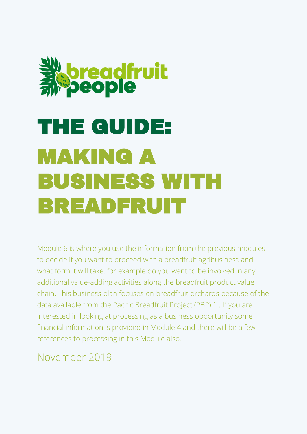

# THE GUIDE: MAKING A BUSINESS WITH BREADFRUIT

Module 6 is where you use the information from the previous modules to decide if you want to proceed with a breadfruit agribusiness and what form it will take, for example do you want to be involved in any additional value-adding activities along the breadfruit product value chain. This business plan focuses on breadfruit orchards because of the data available from the Pacific Breadfruit Project (PBP) 1 . If you are interested in looking at processing as a business opportunity some financial information is provided in Module 4 and there will be a few references to processing in this Module also.

November 2019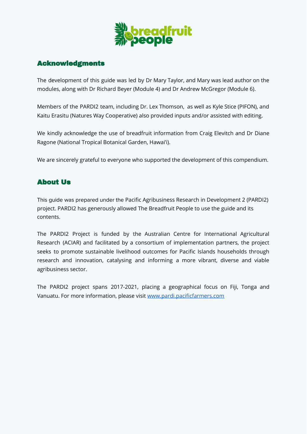

# Acknowledgments

The development of this guide was led by Dr Mary Taylor, and Mary was lead author on the modules, along with Dr Richard Beyer (Module 4) and Dr Andrew McGregor (Module 6).

Members of the PARDI2 team, including Dr. Lex Thomson, as well as Kyle Stice (PIFON), and Kaitu Erasitu (Natures Way Cooperative) also provided inputs and/or assisted with editing.

We kindly acknowledge the use of breadfruit information from Craig Elevitch and Dr Diane Ragone (National Tropical Botanical Garden, Hawai'i).

We are sincerely grateful to everyone who supported the development of this compendium.

# About Us

This guide was prepared under the Pacific Agribusiness Research in Development 2 (PARDI2) project. PARDI2 has generously allowed The Breadfruit People to use the guide and its contents.

The PARDI2 Project is funded by the Australian Centre for International Agricultural Research (ACIAR) and facilitated by a consortium of implementation partners, the project seeks to promote sustainable livelihood outcomes for Pacific Islands households through research and innovation, catalysing and informing a more vibrant, diverse and viable agribusiness sector.

The PARDI2 project spans 2017-2021, placing a geographical focus on Fiji, Tonga and Vanuatu. For more information, please visit [www.pardi.pacificfarmers.com](http://www.pardi.pacificfarmers.com)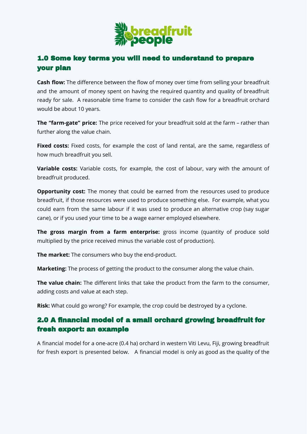

# 1.0 Some key terms you will need to understand to prepare your plan

**Cash flow:** The difference between the flow of money over time from selling your breadfruit and the amount of money spent on having the required quantity and quality of breadfruit ready for sale. A reasonable time frame to consider the cash flow for a breadfruit orchard would be about 10 years.

**The "farm-gate" price:** The price received for your breadfruit sold at the farm – rather than further along the value chain.

**Fixed costs:** Fixed costs, for example the cost of land rental, are the same, regardless of how much breadfruit you sell.

**Variable costs:** Variable costs, for example, the cost of labour, vary with the amount of breadfruit produced.

**Opportunity cost:** The money that could be earned from the resources used to produce breadfruit, if those resources were used to produce something else. For example, what you could earn from the same labour if it was used to produce an alternative crop (say sugar cane), or if you used your time to be a wage earner employed elsewhere.

**The gross margin from a farm enterprise:** gross income (quantity of produce sold multiplied by the price received minus the variable cost of production).

**The market:** The consumers who buy the end-product.

**Marketing:** The process of getting the product to the consumer along the value chain.

**The value chain:** The different links that take the product from the farm to the consumer, adding costs and value at each step.

**Risk:** What could go wrong? For example, the crop could be destroyed by a cyclone.

# 2.0 A financial model of a small orchard growing breadfruit for fresh export: an example

A financial model for a one-acre (0.4 ha) orchard in western Viti Levu, Fiji, growing breadfruit for fresh export is presented below. A financial model is only as good as the quality of the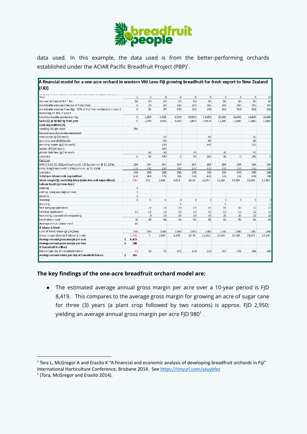

data used. In this example, the data used is from the better-performing orchards established under the ACIAR Pacific Breadfruit Project (PBP) $^1$ .

| A financial model for a one acre orchard in western Viti Levu Fiji growing breadfruit for fresh export to New Zealand |    |              |                 |                |                         |                         |        |                |                         |                         |                           |
|-----------------------------------------------------------------------------------------------------------------------|----|--------------|-----------------|----------------|-------------------------|-------------------------|--------|----------------|-------------------------|-------------------------|---------------------------|
| (FJD)                                                                                                                 |    |              |                 |                |                         |                         |        |                |                         |                         |                           |
| Year                                                                                                                  |    | $\mathbf{1}$ | $\overline{2}$  | 3              | $\overline{4}$          | 5                       | 6      | $\overline{I}$ | $\bf8$                  | $\overline{9}$          | 10 <sup>°</sup>           |
| number of trees @9m * 9m                                                                                              |    | 50           | 50              | 50             | 50                      | 50                      | 50     | 50             | 50                      | 50                      | 50                        |
| marketable yield per tree (no of fruit/ tree)                                                                         |    | $\circ$      | 20              | 80             | 160                     | 200                     | 250    | 300            | 300                     | 300                     | 300                       |
| marketable yield per tree (Kg) - 80% of the fruit marketable in year 2                                                |    | $\circ$      | 25              | 87             | 170                     | 210                     | 263    | 316            | 316                     | 316                     | 316                       |
| increasing to 95% in year 5                                                                                           |    |              |                 |                |                         |                         |        |                |                         |                         |                           |
| total marketable production (Kg)                                                                                      |    | $\circ$      | 1.250           | 4.325          | 8,500                   | 10500                   | 13.158 | 15.800         | 15,800                  | 15,800                  | 15,800                    |
| Sales (\$) @ \$0.80/kg farm gate                                                                                      |    | $\circ$      | 1,000           | 3,460          | 6,800                   | 8,400                   | 10,526 | 12,640         | 12,640                  | 12,640                  | 12,640                    |
| Cash expenditure (\$)                                                                                                 |    |              |                 |                |                         |                         |        |                |                         |                         |                           |
| seedlings 50 @5 each                                                                                                  |    | 250          |                 |                |                         |                         |        |                |                         |                         |                           |
| harvesting and prunning equipment                                                                                     |    |              |                 |                |                         |                         |        |                |                         |                         |                           |
| stick picker (@\$50 each)                                                                                             |    |              |                 | 50             |                         |                         | 50     |                |                         | 50                      |                           |
| prunning saw (@\$50each)                                                                                              |    |              |                 | 50             |                         |                         | 50     |                |                         | 50                      |                           |
| prunning lopper (@\$100 each)                                                                                         |    |              |                 | 100            |                         |                         | 100    |                |                         | 100                     |                           |
| ladder (@\$200 each)                                                                                                  |    |              |                 | 200            |                         |                         |        |                |                         |                         |                           |
| plastic field bins (@\$30 each)                                                                                       |    |              | 60              | 90             |                         | 90                      |        | 90             |                         | 90                      |                           |
| sub-total                                                                                                             |    | $\circ$      | 60              | 490            | $\circ$                 | 90                      | 200    | 90             | $\circ$                 | 290                     | $\circ$                   |
| Fertiliser                                                                                                            |    |              |                 |                |                         |                         |        |                |                         |                         |                           |
| NPK (13:13:21) 200gm/tree/month 120 kgs/annum @ \$1.28/kg                                                             |    | 154          | 154             | 154            | 154                     | 154                     | 154    | 154            | 154                     | 154                     | 154                       |
| Urea 200g/tree/month 120kgs/annum @ \$1.10/kg                                                                         |    | 132          | 132             | 132            | 132                     | 132                     | 132    | 132            | 132                     | 132                     | 132                       |
| sub-total                                                                                                             |    | 286          | 286             | 286            | 286                     | 286                     | 286    | 286            | 286                     | 286                     | 286                       |
| Total non labour cash expenditure                                                                                     |    | 536          | 346             | 776            | 286                     | 376                     | 486    | 376            | 286                     | 576                     | 286                       |
| Gross margin(\$), excluding labor (sales less cash expenditure)                                                       |    | 536          | 654             | 2,684          | 6,514                   | 8,024                   | 10,041 | 12,264         | 12,354                  | 12,064                  | 12.354                    |
| Labour inputs (person days)                                                                                           |    |              |                 |                |                         |                         |        |                |                         |                         |                           |
| clearing                                                                                                              |    | 8            |                 |                |                         |                         |        |                |                         |                         |                           |
| cutting, lining and digging holes                                                                                     |    | 3            |                 |                |                         |                         |        |                |                         |                         |                           |
| planting                                                                                                              |    | $\mathbf{1}$ |                 |                |                         |                         |        |                |                         |                         |                           |
| weeding                                                                                                               |    | 6            | 5               | $\overline{4}$ | $\overline{\mathbf{3}}$ | $\overline{\mathbf{3}}$ | 3      | 3              | $\overline{\mathbf{3}}$ | $\overline{\mathbf{3}}$ | $\ensuremath{\mathsf{3}}$ |
| prunning                                                                                                              |    |              |                 |                | $\mathbf{1}$            |                         |        | $\mathbf{1}$   |                         |                         | $\,1\,$                   |
| bait spraying application                                                                                             |    |              | 10              | 10             | 10                      | 10                      | 10     | 10             | 10                      | 10                      | 10 <sup>°</sup>           |
| fertiliser application                                                                                                |    | 12           | 12              | 12             | 12                      | 12                      | 12     | 12             | 12                      | 12                      | 12                        |
| harvesting, sap control and packing                                                                                   |    |              | 3               | 10             | 20                      | 20                      | 20     | 20             | 20                      | 20                      | 20                        |
| total labour input                                                                                                    |    | 30           | 30 <sup>o</sup> | 36             | 46                      | 45                      | 45     | 46             | 45                      | 45                      | 46                        |
| Average annual labour input                                                                                           |    | 41           |                 |                |                         |                         |        |                |                         |                         |                           |
| If labour is hired                                                                                                    |    |              |                 |                |                         |                         |        |                |                         |                         |                           |
| Cost of hired labour (@ \$30/day)                                                                                     |    | 900          | 900             | 1080           | 1380                    | 1350                    | 1350   | 1380           | 1350                    | 1350                    | 1380                      |
| Gross margin (\$/acre) if labour is hired                                                                             |    | 1,436        | $\overline{4}$  | 2,469          | 6,834                   | 8,774                   | 11,322 | 14,044         | 14,164                  | 13,874                  | 14,134                    |
| Average annual gross margin per acre                                                                                  | \$ | 3,419        |                 |                |                         |                         |        |                |                         |                         |                           |
| Average annual gross margin per tree                                                                                  | \$ | 168          |                 |                |                         |                         |        |                |                         |                         |                           |
| If household is utilised                                                                                              |    |              |                 |                |                         |                         |        |                |                         |                         |                           |
| Returns per day of household labour                                                                                   |    | $-18$        | 22              | 75             | 142                     | 178                     | 223    | 267            | 275                     | 268                     | 269                       |
| Average annual return per day of household labour                                                                     | Ś  | 185          |                 |                |                         |                         |        |                |                         |                         |                           |
|                                                                                                                       |    |              |                 |                |                         |                         |        |                |                         |                         |                           |

#### **The key findings of the one-acre breadfruit orchard model are:**

● The estimated average annual gross margin per acre over a 10-year period is FJD 8,419. This compares to the average gross margin for growing an acre of sugar cane for three (3) years (a plant crop followed by two ratoons) is approx. FJD 2,950; yielding an average annual gross margin per acre FJD 980 $^{\rm 2}$  .

 $1$  Tora L, McGregor A and Erasito K "A financial and economic analysis of developing breadfruit orchards in Fiji" International Horticulture Conference, Brisbane 2014. See <https://tinyurl.com/yxuybfez>

 $2$  (Tora, McGregor and Erasito 2014).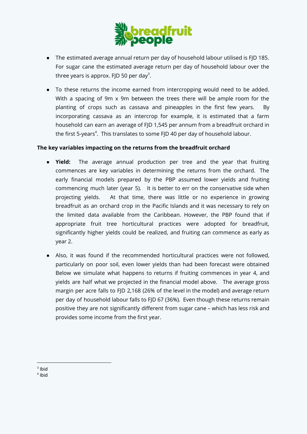

- The estimated average annual return per day of household labour utilised is FJD 185. For sugar cane the estimated average return per day of household labour over the three years is approx. FJD 50 per day<sup>3</sup>.
- To these returns the income earned from intercropping would need to be added. With a spacing of 9m x 9m between the trees there will be ample room for the planting of crops such as cassava and pineapples in the first few years. By incorporating cassava as an intercrop for example, it is estimated that a farm household can earn an average of FJD 1,545 per annum from a breadfruit orchard in the first 5-years<sup>4</sup>. This translates to some FJD 40 per day of household labour.

## **The key variables impacting on the returns from the breadfruit orchard**

- **Yield:** The average annual production per tree and the year that fruiting commences are key variables in determining the returns from the orchard. The early financial models prepared by the PBP assumed lower yields and fruiting commencing much later (year 5). It is better to err on the conservative side when projecting yields. At that time, there was little or no experience in growing breadfruit as an orchard crop in the Pacific Islands and it was necessary to rely on the limited data available from the Caribbean. However, the PBP found that if appropriate fruit tree horticultural practices were adopted for breadfruit, significantly higher yields could be realized, and fruiting can commence as early as year 2.
- Also, it was found if the recommended horticultural practices were not followed, particularly on poor soil, even lower yields than had been forecast were obtained Below we simulate what happens to returns if fruiting commences in year 4, and yields are half what we projected in the financial model above. The average gross margin per acre falls to FJD 2,168 (26% of the level in the model) and average return per day of household labour falls to FJD 67 (36%). Even though these returns remain positive they are not significantly different from sugar cane – which has less risk and provides some income from the first year.

 $3$  Ibid

<sup>4</sup> Ibid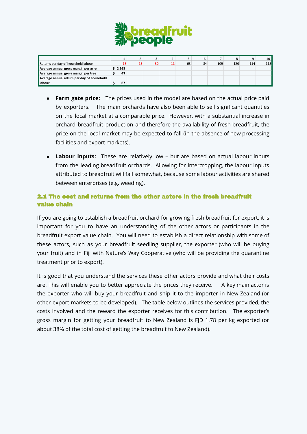

|                                            |         |       |       |       |    | 6  |     |     |     | 10         |
|--------------------------------------------|---------|-------|-------|-------|----|----|-----|-----|-----|------------|
| Returns per day of household labour        | $-18$   | $-13$ | $-30$ | $-11$ | 63 | 84 | 109 | 120 | 114 | <b>118</b> |
| Average annual gross margin per acre       | \$2,168 |       |       |       |    |    |     |     |     |            |
| Average annual gross margin per tree       | 43      |       |       |       |    |    |     |     |     |            |
| Average annual return per day of household |         |       |       |       |    |    |     |     |     |            |
| l labour                                   | 67      |       |       |       |    |    |     |     |     |            |

- **Farm gate price:** The prices used in the model are based on the actual price paid by exporters. The main orchards have also been able to sell significant quantities on the local market at a comparable price. However, with a substantial increase in orchard breadfruit production and therefore the availability of fresh breadfruit, the price on the local market may be expected to fall (in the absence of new processing facilities and export markets).
- **Labour inputs:** These are relatively low but are based on actual labour inputs from the leading breadfruit orchards. Allowing for intercropping, the labour inputs attributed to breadfruit will fall somewhat, because some labour activities are shared between enterprises (e.g. weeding).

# 2.1 The cost and returns from the other actors in the fresh breadfruit value chain

If you are going to establish a breadfruit orchard for growing fresh breadfruit for export, it is important for you to have an understanding of the other actors or participants in the breadfruit export value chain. You will need to establish a direct relationship with some of these actors, such as your breadfruit seedling supplier, the exporter (who will be buying your fruit) and in Fiji with Nature's Way Cooperative (who will be providing the quarantine treatment prior to export).

It is good that you understand the services these other actors provide and what their costs are. This will enable you to better appreciate the prices they receive. A key main actor is the exporter who will buy your breadfruit and ship it to the importer in New Zealand (or other export markets to be developed). The table below outlines the services provided, the costs involved and the reward the exporter receives for this contribution. The exporter's gross margin for getting your breadfruit to New Zealand is FJD 1.78 per kg exported (or about 38% of the total cost of getting the breadfruit to New Zealand).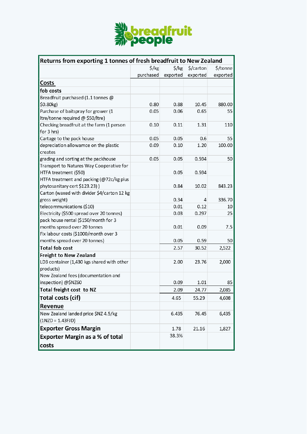

| Returns from exporting 1 tonnes of fresh breadfruit to New Zealand |                   |                   |           |          |  |  |
|--------------------------------------------------------------------|-------------------|-------------------|-----------|----------|--|--|
|                                                                    | $\frac{1}{2}$ /kg | $\frac{1}{2}$ /kg | \$/carton | \$/tonne |  |  |
|                                                                    | purchased         | exported          | exported  | exported |  |  |
| Costs                                                              |                   |                   |           |          |  |  |
| fob costs                                                          |                   |                   |           |          |  |  |
| Breadfruit purchased (1.1 tonnes @                                 |                   |                   |           |          |  |  |
| \$0.80kg)                                                          | 0.80              | 0.88              | 10.45     | 880.00   |  |  |
| Purchase of baitspray for grower (1                                | 0.05              | 0.06              | 0.65      | 55       |  |  |
| Itre/tonne required @ \$50/Itre)                                   |                   |                   |           |          |  |  |
| Checking breadfruit at the farm (1 person                          | 0.10              | 0.11              | 1.31      | 110      |  |  |
| for 3 hrs)                                                         |                   |                   |           |          |  |  |
| Cartage to the pack house                                          | 0.05              | 0.05              | 0.6       | 55       |  |  |
| depreciation allowamce on the plastic<br>creates                   | 0.09              | 0.10              | 1.20      | 100.00   |  |  |
| grading and sorting at the packhouse                               | 0.05              | 0.05              | 0.594     | 50       |  |  |
| Transport to Natures Way Cooperative for                           |                   |                   |           |          |  |  |
| HTFA treatment (\$50)                                              |                   | 0.05              | 0.594     |          |  |  |
| HTFA treatment and packing (@72c/kg plus                           |                   |                   |           |          |  |  |
| phytosanitary cert \$123.23))                                      |                   | 0.84              | 10.02     | 843.23   |  |  |
| Carton (waxed with divider \$4/carton 12 kg                        |                   |                   |           |          |  |  |
| gross weight)                                                      |                   | 0.34              | 4         | 336.70   |  |  |
| telecommunications (\$10)                                          |                   | 0.01              | 0.12      | 10       |  |  |
| Electricity (\$500 spread over 20 tonnes)                          |                   | 0.03              | 0.297     | 25       |  |  |
| pack house rental (\$150/month for 3                               |                   |                   |           |          |  |  |
| months spread over 20 tonnes                                       |                   | 0.01              | 0.09      | 7.5      |  |  |
| Fix labour costs (\$1000/month over 3                              |                   |                   |           |          |  |  |
| months spread over 20 tonnes)                                      |                   | 0.05              | 0.59      | 50       |  |  |
| <b>Total fob cost</b>                                              |                   | 2.57              | 30.52     | 2,522    |  |  |
| Freight to New Zealand                                             |                   |                   |           |          |  |  |
| LD3 container (1,430 kgs shared with other<br>products)            |                   | 2.00              | 23.76     | 2,000    |  |  |
| New Zealand fees (documentation and                                |                   |                   |           |          |  |  |
| inspection) @\$NZ60                                                |                   | 0.09              | 1.01      | 85       |  |  |
| Total freight cost to NZ                                           |                   | 2.09              | 24.77     | 2,085    |  |  |
| Total costs (cif)                                                  |                   | 4.65              | 55.29     | 4,608    |  |  |
| Revenue                                                            |                   |                   |           |          |  |  |
| New Zealand landed price \$NZ 4.5/kg                               |                   | 6.435             | 76.45     | 6,435    |  |  |
| $(1NZD = 1.43FJD)$                                                 |                   |                   |           |          |  |  |
| <b>Exporter Gross Margin</b>                                       |                   | 1.78              | 21.16     | 1,827    |  |  |
| <b>Exporter Margin as a % of total</b>                             |                   | 38.3%             |           |          |  |  |
| costs                                                              |                   |                   |           |          |  |  |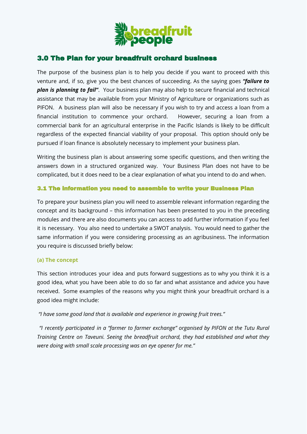

# 3.0 The Plan for your breadfruit orchard business

The purpose of the business plan is to help you decide if you want to proceed with this venture and, if so, give you the best chances of succeeding. As the saying goes *"failure to plan is planning to fail"*. Your business plan may also help to secure financial and technical assistance that may be available from your Ministry of Agriculture or organizations such as PIFON. A business plan will also be necessary if you wish to try and access a loan from a financial institution to commence your orchard. However, securing a loan from a commercial bank for an agricultural enterprise in the Pacific Islands is likely to be difficult regardless of the expected financial viability of your proposal. This option should only be pursued if loan finance is absolutely necessary to implement your business plan.

Writing the business plan is about answering some specific questions, and then writing the answers down in a structured organized way. Your Business Plan does not have to be complicated, but it does need to be a clear explanation of what you intend to do and when.

## 3.1 The information you need to assemble to write your Business Plan

To prepare your business plan you will need to assemble relevant information regarding the concept and its background – this information has been presented to you in the preceding modules and there are also documents you can access to add further information if you feel it is necessary. You also need to undertake a SWOT analysis. You would need to gather the same information if you were considering processing as an agribusiness. The information you require is discussed briefly below:

#### **(a) The concept**

This section introduces your idea and puts forward suggestions as to why you think it is a good idea, what you have been able to do so far and what assistance and advice you have received. Some examples of the reasons why you might think your breadfruit orchard is a good idea might include:

## *"I have some good land that is available and experience in growing fruit trees."*

*"I recently participated in a "farmer to farmer exchange" organised by PIFON at the Tutu Rural Training Centre on Taveuni. Seeing the breadfruit orchard, they had established and what they were doing with small scale processing was an eye opener for me."*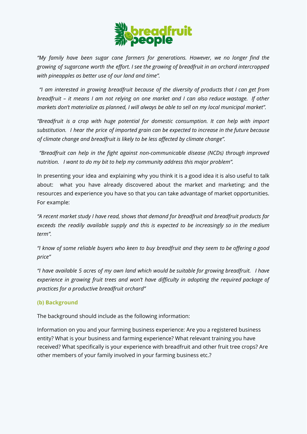

*"My family have been sugar cane farmers for generations. However, we no longer find the growing of sugarcane worth the effort. I see the growing of breadfruit in an orchard intercropped with pineapples as better use of our land and time".*

*"I am interested in growing breadfruit because of the diversity of products that I can get from* breadfruit - it means I am not relying on one market and I can also reduce wastage. If other *markets don't materialize as planned, I will always be able to sell on my local municipal market".*

*"Breadfruit is a crop with huge potential for domestic consumption. It can help with import substitution. I hear the price of imported grain can be expected to increase in the future because of climate change and breadfruit is likely to be less affected by climate change".*

*"Breadfruit can help in the fight against non-communicable disease (NCDs) through improved nutrition. I want to do my bit to help my community address this major problem".*

In presenting your idea and explaining why you think it is a good idea it is also useful to talk about: what you have already discovered about the market and marketing; and the resources and experience you have so that you can take advantage of market opportunities. For example:

*"A recent market study I have read, shows that demand for breadfruit and breadfruit products far exceeds the readily available supply and this is expected to be increasingly so in the medium term".*

"I know of some reliable buyers who keen to buy breadfruit and they seem to be offering a good *price"*

*"I have available 5 acres of my own land which would be suitable for growing breadfruit. I have experience in growing fruit trees and won't have difficulty in adopting the required package of practices for a productive breadfruit orchard"*

## **(b) Background**

The background should include as the following information:

Information on you and your farming business experience: Are you a registered business entity? What is your business and farming experience? What relevant training you have received? What specifically is your experience with breadfruit and other fruit tree crops? Are other members of your family involved in your farming business etc.?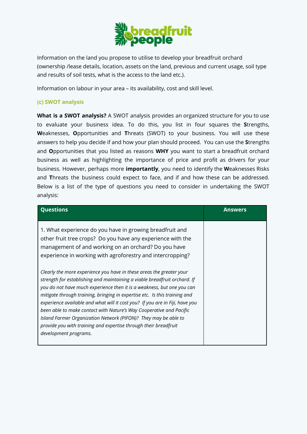

Information on the land you propose to utilise to develop your breadfruit orchard (ownership /lease details, location, assets on the land, previous and current usage, soil type and results of soil tests, what is the access to the land etc.).

Information on labour in your area – its availability, cost and skill level.

## **(c) SWOT analysis**

**What is a SWOT analysis?** A SWOT analysis provides an organized structure for you to use to evaluate your business idea. To do this, you list in four squares the **S**trengths, **W**eaknesses, **O**pportunities and **T**hreats (SWOT) to your business. You will use these answers to help you decide if and how your plan should proceed. You can use the **S**trengths and **O**pportunities that you listed as reasons **WHY** you want to start a breadfruit orchard business as well as highlighting the importance of price and profit as drivers for your business. However, perhaps more **importantly**, you need to identify the **W**eaknesses Risks and **T**hreats the business could expect to face, and if and how these can be addressed. Below is a list of the type of questions you need to consider in undertaking the SWOT analysis:

| <b>Questions</b>                                                                                                                                                                                                                                                                                                                                                                                                                                                                                                                                                                                                                 | <b>Answers</b> |
|----------------------------------------------------------------------------------------------------------------------------------------------------------------------------------------------------------------------------------------------------------------------------------------------------------------------------------------------------------------------------------------------------------------------------------------------------------------------------------------------------------------------------------------------------------------------------------------------------------------------------------|----------------|
| 1. What experience do you have in growing breadfruit and<br>other fruit tree crops? Do you have any experience with the<br>management of and working on an orchard? Do you have<br>experience in working with agroforestry and intercropping?                                                                                                                                                                                                                                                                                                                                                                                    |                |
| Clearly the more experience you have in these areas the greater your<br>strength for establishing and maintaining a viable breadfruit orchard. If<br>you do not have much experience then it is a weakness, but one you can<br>mitigate through training, bringing in expertise etc. Is this training and<br>experience available and what will it cost you? If you are in Fiji, have you<br>been able to make contact with Nature's Way Cooperative and Pacific<br>Island Farmer Organization Network (PIFON)? They may be able to<br>provide you with training and expertise through their breadfruit<br>development programs. |                |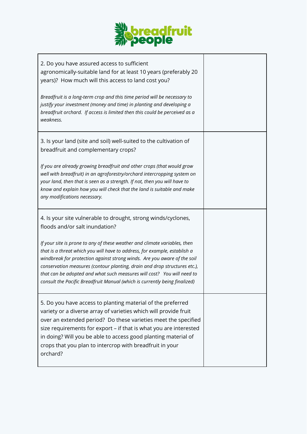

| 2. Do you have assured access to sufficient<br>agronomically-suitable land for at least 10 years (preferably 20<br>years)? How much will this access to land cost you?                                                                                                                                                                                                                                                                                                  |  |
|-------------------------------------------------------------------------------------------------------------------------------------------------------------------------------------------------------------------------------------------------------------------------------------------------------------------------------------------------------------------------------------------------------------------------------------------------------------------------|--|
| Breadfruit is a long-term crop and this time period will be necessary to<br>justify your investment (money and time) in planting and developing a<br>breadfruit orchard. If access is limited then this could be perceived as a<br>weakness.                                                                                                                                                                                                                            |  |
| 3. Is your land (site and soil) well-suited to the cultivation of<br>breadfruit and complementary crops?                                                                                                                                                                                                                                                                                                                                                                |  |
| If you are already growing breadfruit and other crops (that would grow<br>well with breadfruit) in an agroforestry/orchard intercropping system on<br>your land, then that is seen as a strength. If not, then you will have to<br>know and explain how you will check that the land is suitable and make<br>any modifications necessary.                                                                                                                               |  |
| 4. Is your site vulnerable to drought, strong winds/cyclones,<br>floods and/or salt inundation?                                                                                                                                                                                                                                                                                                                                                                         |  |
| If your site is prone to any of these weather and climate variables, then<br>that is a threat which you will have to address, for example, establish a<br>windbreak for protection against strong winds. Are you aware of the soil<br>conservation measures (contour planting, drain and drop structures etc.),<br>that can be adopted and what such measures will cost? You will need to<br>consult the Pacific Breadfruit Manual (which is currently being finalized) |  |
| 5. Do you have access to planting material of the preferred<br>variety or a diverse array of varieties which will provide fruit<br>over an extended period? Do these varieties meet the specified<br>size requirements for export - if that is what you are interested<br>in doing? Will you be able to access good planting material of<br>crops that you plan to intercrop with breadfruit in your<br>orchard?                                                        |  |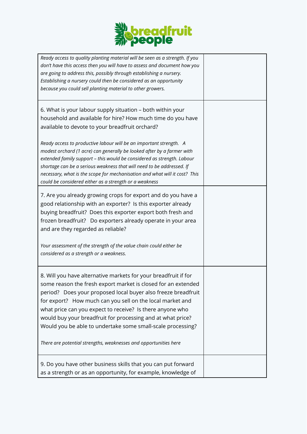

| Ready access to quality planting material will be seen as a strength. If you<br>don't have this access then you will have to assess and document how you<br>are going to address this, possibly through establishing a nursery.<br>Establishing a nursery could then be considered as an opportunity<br>because you could sell planting material to other growers.                                                                                                                                                            |  |
|-------------------------------------------------------------------------------------------------------------------------------------------------------------------------------------------------------------------------------------------------------------------------------------------------------------------------------------------------------------------------------------------------------------------------------------------------------------------------------------------------------------------------------|--|
| 6. What is your labour supply situation – both within your<br>household and available for hire? How much time do you have<br>available to devote to your breadfruit orchard?                                                                                                                                                                                                                                                                                                                                                  |  |
| Ready access to productive labour will be an important strength. A<br>modest orchard (1 acre) can generally be looked after by a farmer with<br>extended family support - this would be considered as strength. Labour<br>shortage can be a serious weakness that will need to be addressed. If<br>necessary, what is the scope for mechanisation and what will it cost? This<br>could be considered either as a strength or a weakness                                                                                       |  |
| 7. Are you already growing crops for export and do you have a<br>good relationship with an exporter? Is this exporter already<br>buying breadfruit? Does this exporter export both fresh and<br>frozen breadfruit? Do exporters already operate in your area<br>and are they regarded as reliable?                                                                                                                                                                                                                            |  |
| Your assessment of the strength of the value chain could either be<br>considered as a strength or a weakness.                                                                                                                                                                                                                                                                                                                                                                                                                 |  |
| 8. Will you have alternative markets for your breadfruit if for<br>some reason the fresh export market is closed for an extended<br>period? Does your proposed local buyer also freeze breadfruit<br>for export? How much can you sell on the local market and<br>what price can you expect to receive? Is there anyone who<br>would buy your breadfruit for processing and at what price?<br>Would you be able to undertake some small-scale processing?<br>There are potential strengths, weaknesses and opportunities here |  |
|                                                                                                                                                                                                                                                                                                                                                                                                                                                                                                                               |  |
| 9. Do you have other business skills that you can put forward<br>as a strength or as an opportunity, for example, knowledge of                                                                                                                                                                                                                                                                                                                                                                                                |  |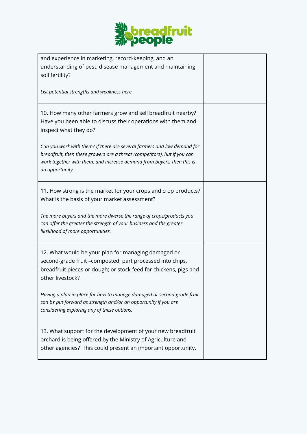

| and experience in marketing, record-keeping, and an<br>understanding of pest, disease management and maintaining<br>soil fertility?                                                                                                               |  |
|---------------------------------------------------------------------------------------------------------------------------------------------------------------------------------------------------------------------------------------------------|--|
| List potential strengths and weakness here                                                                                                                                                                                                        |  |
| 10. How many other farmers grow and sell breadfruit nearby?<br>Have you been able to discuss their operations with them and<br>inspect what they do?                                                                                              |  |
| Can you work with them? If there are several farmers and low demand for<br>breadfruit, then these growers are a threat (competitors), but if you can<br>work together with them, and increase demand from buyers, then this is<br>an opportunity. |  |
| 11. How strong is the market for your crops and crop products?<br>What is the basis of your market assessment?                                                                                                                                    |  |
| The more buyers and the more diverse the range of crops/products you<br>can offer the greater the strength of your business and the greater<br>likelihood of more opportunities.                                                                  |  |
| 12. What would be your plan for managing damaged or<br>second-grade fruit -composted; part processed into chips,<br>breadfruit pieces or dough; or stock feed for chickens, pigs and<br>other livestock?                                          |  |
| Having a plan in place for how to manage damaged or second-grade fruit<br>can be put forward as strength and/or an opportunity if you are<br>considering exploring any of these options.                                                          |  |
| 13. What support for the development of your new breadfruit<br>orchard is being offered by the Ministry of Agriculture and<br>other agencies? This could present an important opportunity.                                                        |  |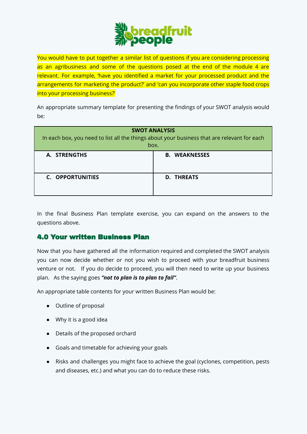

You would have to put together a similar list of questions if you are considering processing as an agribusiness and some of the questions posed at the end of the module 4 are relevant. For example, 'have you identified a market for your processed product and the arrangements for marketing the product?' and 'can you incorporate other staple food crops into your processing business?'

An appropriate summary template for presenting the findings of your SWOT analysis would be:

| <b>SWOT ANALYSIS</b><br>In each box, you need to list all the things about your business that are relevant for each<br>box. |                      |  |  |  |
|-----------------------------------------------------------------------------------------------------------------------------|----------------------|--|--|--|
| A. STRENGTHS                                                                                                                | <b>B. WEAKNESSES</b> |  |  |  |
| C. OPPORTUNITIES                                                                                                            | <b>D. THREATS</b>    |  |  |  |

In the final Business Plan template exercise, you can expand on the answers to the questions above.

# 4.0 Your written Business Plan

Now that you have gathered all the information required and completed the SWOT analysis you can now decide whether or not you wish to proceed with your breadfruit business venture or not. If you do decide to proceed, you will then need to write up your business plan. As the saying goes *"not to plan is to plan to fail"*.

An appropriate table contents for your written Business Plan would be:

- Outline of proposal
- Why it is a good idea
- Details of the proposed orchard
- Goals and timetable for achieving your goals
- Risks and challenges you might face to achieve the goal (cyclones, competition, pests and diseases, etc.) and what you can do to reduce these risks.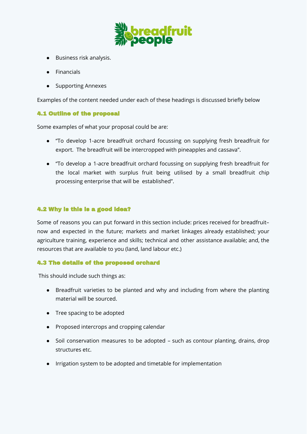

- Business risk analysis.
- Financials
- Supporting Annexes

Examples of the content needed under each of these headings is discussed briefly below

## 4.1 Outline of the proposal

Some examples of what your proposal could be are:

- "To develop 1-acre breadfruit orchard focussing on supplying fresh breadfruit for export. The breadfruit will be intercropped with pineapples and cassava".
- "To develop a 1-acre breadfruit orchard focussing on supplying fresh breadfruit for the local market with surplus fruit being utilised by a small breadfruit chip processing enterprise that will be established".

## 4.2 Why is this is a good idea?

Some of reasons you can put forward in this section include: prices received for breadfruit– now and expected in the future; markets and market linkages already established; your agriculture training, experience and skills; technical and other assistance available; and, the resources that are available to you (land, land labour etc.)

#### 4.3 The details of the proposed orchard

This should include such things as:

- Breadfruit varieties to be planted and why and including from where the planting material will be sourced.
- Tree spacing to be adopted
- Proposed intercrops and cropping calendar
- Soil conservation measures to be adopted such as contour planting, drains, drop structures etc.
- Irrigation system to be adopted and timetable for implementation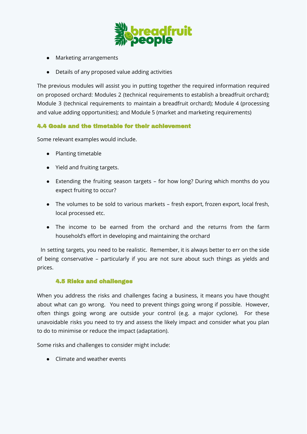

- Marketing arrangements
- Details of any proposed value adding activities

The previous modules will assist you in putting together the required information required on proposed orchard: Modules 2 (technical requirements to establish a breadfruit orchard); Module 3 (technical requirements to maintain a breadfruit orchard); Module 4 (processing and value adding opportunities); and Module 5 (market and marketing requirements)

# 4.4 Goals and the timetable for their achievement

Some relevant examples would include.

- Planting timetable
- Yield and fruiting targets.
- Extending the fruiting season targets for how long? During which months do you expect fruiting to occur?
- The volumes to be sold to various markets fresh export, frozen export, local fresh, local processed etc.
- The income to be earned from the orchard and the returns from the farm household's effort in developing and maintaining the orchard

In setting targets, you need to be realistic. Remember, it is always better to err on the side of being conservative – particularly if you are not sure about such things as yields and prices.

#### 4.5 Risks and challenges

When you address the risks and challenges facing a business, it means you have thought about what can go wrong. You need to prevent things going wrong if possible. However, often things going wrong are outside your control (e.g. a major cyclone). For these unavoidable risks you need to try and assess the likely impact and consider what you plan to do to minimise or reduce the impact (adaptation).

Some risks and challenges to consider might include:

● Climate and weather events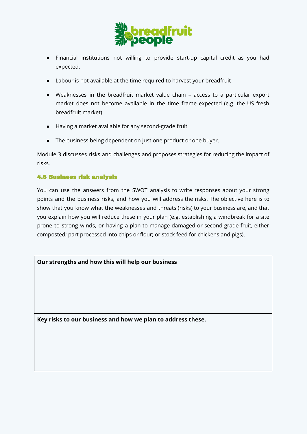

- Financial institutions not willing to provide start-up capital credit as you had expected.
- Labour is not available at the time required to harvest your breadfruit
- Weaknesses in the breadfruit market value chain access to a particular export market does not become available in the time frame expected (e.g. the US fresh breadfruit market).
- Having a market available for any second-grade fruit
- The business being dependent on just one product or one buyer.

Module 3 discusses risks and challenges and proposes strategies for reducing the impact of risks.

# 4.6 Business risk analysis

You can use the answers from the SWOT analysis to write responses about your strong points and the business risks, and how you will address the risks. The objective here is to show that you know what the weaknesses and threats (risks) to your business are, and that you explain how you will reduce these in your plan (e.g. establishing a windbreak for a site prone to strong winds, or having a plan to manage damaged or second-grade fruit, either composted; part processed into chips or flour; or stock feed for chickens and pigs).

**Our strengths and how this will help our business**

**Key risks to our business and how we plan to address these.**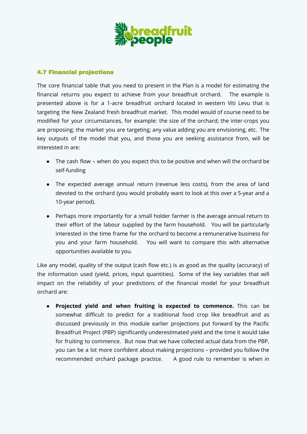

#### 4.7 Financial projections

The core financial table that you need to present in the Plan is a model for estimating the financial returns you expect to achieve from your breadfruit orchard. The example is presented above is for a 1-acre breadfruit orchard located in western Viti Levu that is targeting the New Zealand fresh breadfruit market. This model would of course need to be modified for your circumstances, for example: the size of the orchard; the inter-crops you are proposing; the market you are targeting; any value adding you are envisioning, etc. The key outputs of the model that you, and those you are seeking assistance from, will be interested in are:

- The cash flow when do you expect this to be positive and when will the orchard be self-funding
- The expected average annual return (revenue less costs), from the area of land devoted to the orchard (you would probably want to look at this over a 5-year and a 10-year period).
- Perhaps more importantly for a small holder farmer is the average annual return to their effort of the labour supplied by the farm household. You will be particularly interested in the time frame for the orchard to become a remunerative business for you and your farm household. You will want to compare this with alternative opportunities available to you.

Like any model, quality of the output (cash flow etc.) is as good as the quality (accuracy) of the information used (yield, prices, input quantities). Some of the key variables that will impact on the reliability of your predictions of the financial model for your breadfruit orchard are:

● **Projected yield and when fruiting is expected to commence.** This can be somewhat difficult to predict for a traditional food crop like breadfruit and as discussed previously in this module earlier projections put forward by the Pacific Breadfruit Project (PBP) significantly underestimated yield and the time it would take for fruiting to commence. But now that we have collected actual data from the PBP, you can be a lot more confident about making projections – provided you follow the recommended orchard package practice. A good rule to remember is when in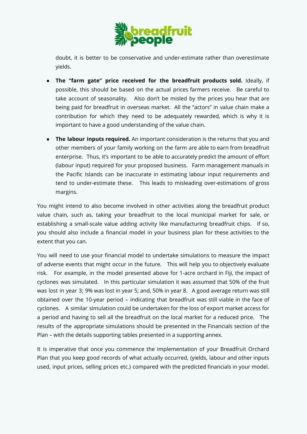

doubt, it is better to be conservative and under-estimate rather than overestimate yields.

- **The "farm gate" price received for the breadfruit products sold.** Ideally, if possible, this should be based on the actual prices farmers receive. Be careful to take account of seasonality. Also don't be misled by the prices you hear that are being paid for breadfruit in overseas market. All the "actors" in value chain make a contribution for which they need to be adequately rewarded, which is why it is important to have a good understanding of the value chain.
- **The labour inputs required.** An important consideration is the returns that you and other members of your family working on the farm are able to earn from breadfruit enterprise. Thus, it's important to be able to accurately predict the amount of effort (labour input) required for your proposed business. Farm management manuals in the Pacific Islands can be inaccurate in estimating labour input requirements and tend to under-estimate these. This leads to misleading over-estimations of gross margins.

You might intend to also become involved in other activities along the breadfruit product value chain, such as, taking your breadfruit to the local municipal market for sale, or establishing a small-scale value adding activity like manufacturing breadfruit chips. If so, you should also include a financial model in your business plan for these activities to the extent that you can.

You will need to use your financial model to undertake simulations to measure the impact of adverse events that might occur in the future. This will help you to objectively evaluate risk. For example, in the model presented above for 1-acre orchard in Fiji, the impact of cyclones was simulated. In this particular simulation it was assumed that 50% of the fruit was lost in year 3; 9% was lost in year 5; and, 50% in year 8. A good average return was still obtained over the 10-year period – indicating that breadfruit was still viable in the face of cyclones. A similar simulation could be undertaken for the loss of export market access for a period and having to sell all the breadfruit on the local market for a reduced price. The results of the appropriate simulations should be presented in the Financials section of the Plan – with the details supporting tables presented in a supporting annex.

It is imperative that once you commence the implementation of your Breadfruit Orchard Plan that you keep good records of what actually occurred, (yields, labour and other inputs used, input prices, selling prices etc.) compared with the predicted financials in your model.